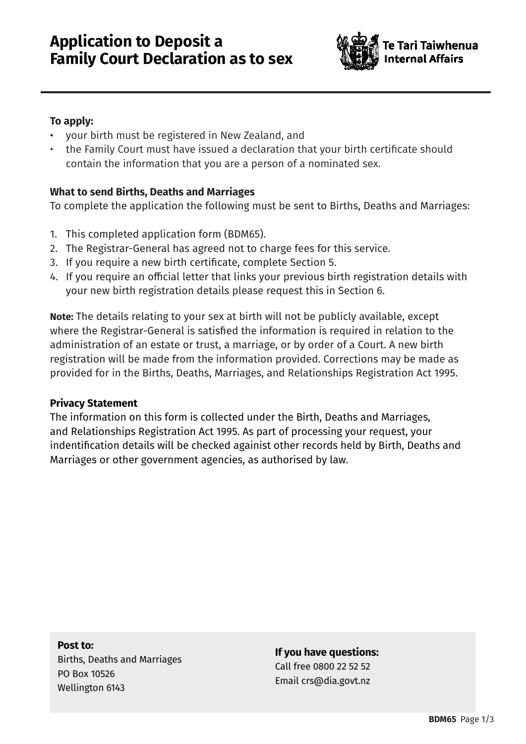

## **To apply:**

- your birth must be registered in New Zealand, and
- the Family Court must have issued a declaration that your birth certificate should contain the information that you are a person of a nominated sex.

## **What to send Births, Deaths and Marriages**

To complete the application the following must be sent to Births, Deaths and Marriages:

- 1. This completed application form (BDM65).
- 2. The Registrar-General has agreed not to charge fees for this service.
- 3. If you require a new birth certificate, complete Section 5.
- 4. If you require an official letter that links your previous birth registration details with your new birth registration details please request this in Section 6.

**Note:** The details relating to your sex at birth will not be publicly available, except where the Registrar-General is satisfied the information is required in relation to the administration of an estate or trust, a marriage, or by order of a Court. A new birth registration will be made from the information provided. Corrections may be made as provided for in the Births, Deaths, Marriages, and Relationships Registration Act 1995.

## **Privacy Statement**

The information on this form is collected under the Birth, Deaths and Marriages, and Relationships Registration Act 1995. As part of processing your request, your indentification details will be checked againist other records held by Birth, Deaths and Marriages or other government agencies, as authorised by law.

#### **Post to:**

Births, Deaths and Marriages PO Box 10526 Wellington 6143

### **If you have questions:**

Call free 0800 22 52 52 Email crs@dia.govt.nz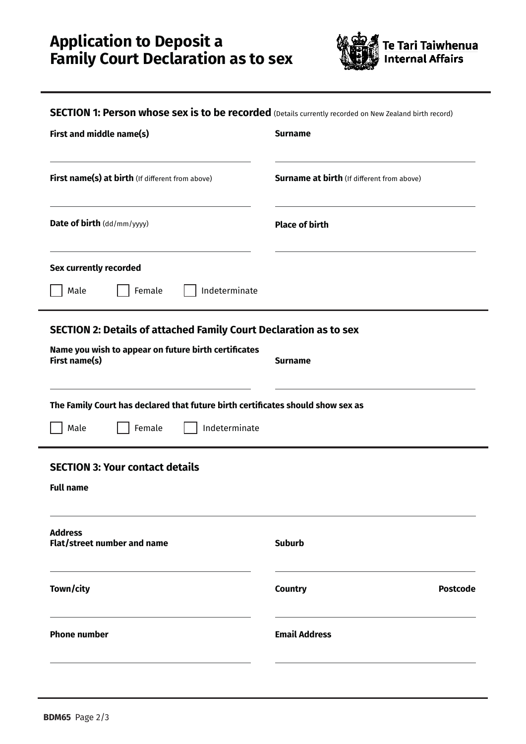# **Application to Deposit a Family Court Declaration as to sex**



| <b>SECTION 1: Person whose sex is to be recorded</b> (Details currently recorded on New Zealand birth record) |  |  |  |
|---------------------------------------------------------------------------------------------------------------|--|--|--|
|---------------------------------------------------------------------------------------------------------------|--|--|--|

| First and middle name(s)                                                                                                                                            | <b>Surname</b>                                    |  |  |  |
|---------------------------------------------------------------------------------------------------------------------------------------------------------------------|---------------------------------------------------|--|--|--|
| First name(s) at birth (If different from above)                                                                                                                    | <b>Surname at birth</b> (If different from above) |  |  |  |
| Date of birth (dd/mm/yyyy)                                                                                                                                          | <b>Place of birth</b>                             |  |  |  |
| Sex currently recorded<br>Indeterminate<br>Male<br>Female                                                                                                           |                                                   |  |  |  |
| <b>SECTION 2: Details of attached Family Court Declaration as to sex</b><br>Name you wish to appear on future birth certificates<br>First name(s)<br><b>Surname</b> |                                                   |  |  |  |
| The Family Court has declared that future birth certificates should show sex as<br>Indeterminate<br>Male<br>Female                                                  |                                                   |  |  |  |
| <b>SECTION 3: Your contact details</b><br><b>Full name</b>                                                                                                          |                                                   |  |  |  |
| <b>Address</b><br><b>Flat/street number and name</b>                                                                                                                | <b>Suburb</b>                                     |  |  |  |
| Town/city                                                                                                                                                           | <b>Country</b><br><b>Postcode</b>                 |  |  |  |
| <b>Phone number</b>                                                                                                                                                 | <b>Email Address</b>                              |  |  |  |
|                                                                                                                                                                     |                                                   |  |  |  |